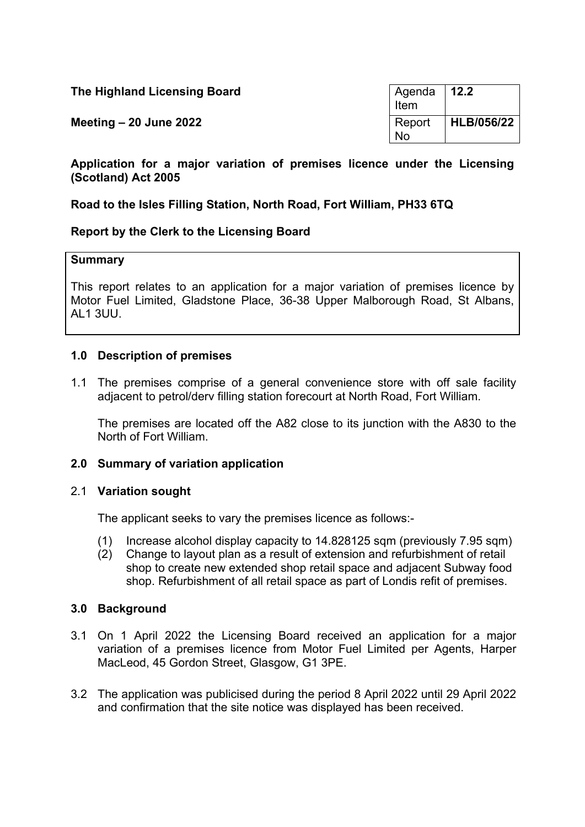| The Highland Licensing Board | Agenda   12.2<br>Item |                    |
|------------------------------|-----------------------|--------------------|
| Meeting $-20$ June 2022      | Report<br><b>No</b>   | $ $ HLB/056/22 $ $ |

**Application for a major variation of premises licence under the Licensing (Scotland) Act 2005**

# **Road to the Isles Filling Station, North Road, Fort William, PH33 6TQ**

## **Report by the Clerk to the Licensing Board**

#### **Summary**

This report relates to an application for a major variation of premises licence by Motor Fuel Limited, Gladstone Place, 36-38 Upper Malborough Road, St Albans, AL1 3UU.

## **1.0 Description of premises**

1.1 The premises comprise of a general convenience store with off sale facility adjacent to petrol/derv filling station forecourt at North Road, Fort William.

The premises are located off the A82 close to its junction with the A830 to the North of Fort William.

#### **2.0 Summary of variation application**

## 2.1 **Variation sought**

The applicant seeks to vary the premises licence as follows:-

- (1) Increase alcohol display capacity to 14.828125 sqm (previously 7.95 sqm)
- (2) Change to layout plan as a result of extension and refurbishment of retail shop to create new extended shop retail space and adjacent Subway food shop. Refurbishment of all retail space as part of Londis refit of premises.

#### **3.0 Background**

- 3.1 On 1 April 2022 the Licensing Board received an application for a major variation of a premises licence from Motor Fuel Limited per Agents, Harper MacLeod, 45 Gordon Street, Glasgow, G1 3PE.
- 3.2 The application was publicised during the period 8 April 2022 until 29 April 2022 and confirmation that the site notice was displayed has been received.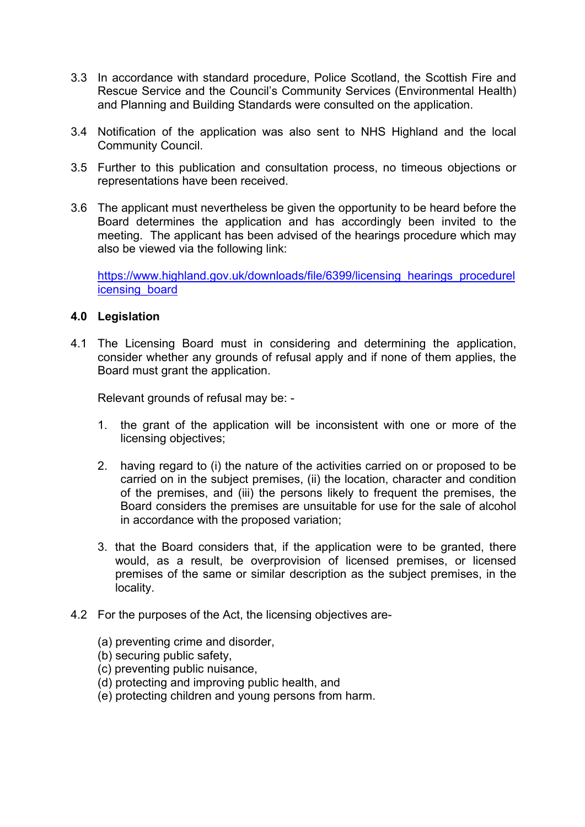- 3.3 In accordance with standard procedure, Police Scotland, the Scottish Fire and Rescue Service and the Council's Community Services (Environmental Health) and Planning and Building Standards were consulted on the application.
- 3.4 Notification of the application was also sent to NHS Highland and the local Community Council.
- 3.5 Further to this publication and consultation process, no timeous objections or representations have been received.
- 3.6 The applicant must nevertheless be given the opportunity to be heard before the Board determines the application and has accordingly been invited to the meeting. The applicant has been advised of the hearings procedure which may also be viewed via the following link:

[https://www.highland.gov.uk/downloads/file/6399/licensing\\_hearings\\_procedurel](https://www.highland.gov.uk/downloads/file/6399/licensing_hearings_procedurelicensing_board) [icensing\\_board](https://www.highland.gov.uk/downloads/file/6399/licensing_hearings_procedurelicensing_board)

## **4.0 Legislation**

4.1 The Licensing Board must in considering and determining the application, consider whether any grounds of refusal apply and if none of them applies, the Board must grant the application.

Relevant grounds of refusal may be: -

- 1. the grant of the application will be inconsistent with one or more of the licensing objectives;
- 2. having regard to (i) the nature of the activities carried on or proposed to be carried on in the subject premises, (ii) the location, character and condition of the premises, and (iii) the persons likely to frequent the premises, the Board considers the premises are unsuitable for use for the sale of alcohol in accordance with the proposed variation;
- 3. that the Board considers that, if the application were to be granted, there would, as a result, be overprovision of licensed premises, or licensed premises of the same or similar description as the subject premises, in the locality.
- 4.2 For the purposes of the Act, the licensing objectives are-
	- (a) preventing crime and disorder,
	- (b) securing public safety,
	- (c) preventing public nuisance,
	- (d) protecting and improving public health, and
	- (e) protecting children and young persons from harm.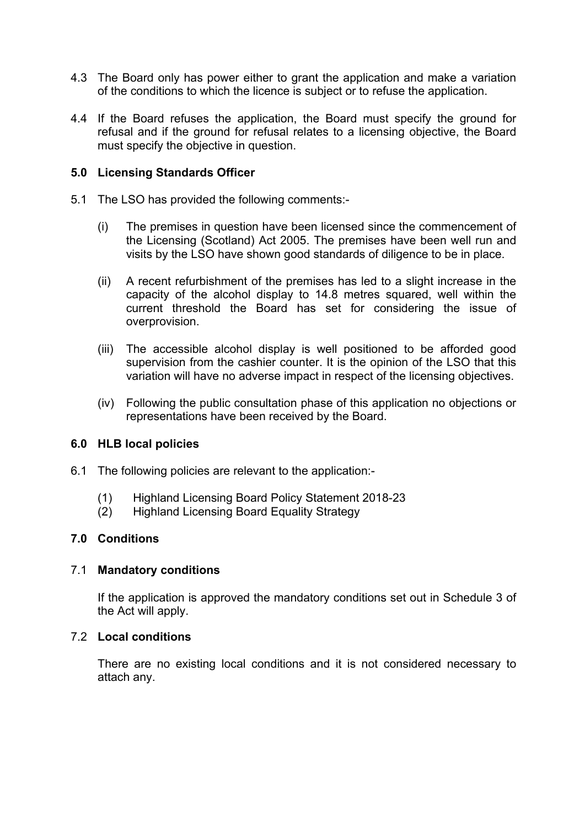- 4.3 The Board only has power either to grant the application and make a variation of the conditions to which the licence is subject or to refuse the application.
- 4.4 If the Board refuses the application, the Board must specify the ground for refusal and if the ground for refusal relates to a licensing objective, the Board must specify the objective in question.

### **5.0 Licensing Standards Officer**

- 5.1 The LSO has provided the following comments:-
	- (i) The premises in question have been licensed since the commencement of the Licensing (Scotland) Act 2005. The premises have been well run and visits by the LSO have shown good standards of diligence to be in place.
	- (ii) A recent refurbishment of the premises has led to a slight increase in the capacity of the alcohol display to 14.8 metres squared, well within the current threshold the Board has set for considering the issue of overprovision.
	- (iii) The accessible alcohol display is well positioned to be afforded good supervision from the cashier counter. It is the opinion of the LSO that this variation will have no adverse impact in respect of the licensing objectives.
	- (iv) Following the public consultation phase of this application no objections or representations have been received by the Board.

## **6.0 HLB local policies**

- 6.1 The following policies are relevant to the application:-
	- (1) Highland Licensing Board Policy Statement 2018-23
	- (2) Highland Licensing Board Equality Strategy

#### **7.0 Conditions**

#### 7.1 **Mandatory conditions**

If the application is approved the mandatory conditions set out in Schedule 3 of the Act will apply.

## 7.2 **Local conditions**

There are no existing local conditions and it is not considered necessary to attach any.